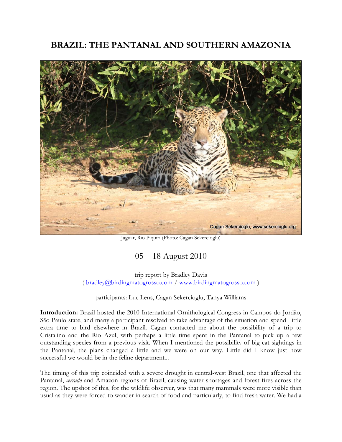# **BRAZIL: THE PANTANAL AND SOUTHERN AMAZONIA**



Jaguar, Rio Piquiri (Photo: Cagan Sekercioglu)

# 05 – 18 August 2010

trip report by Bradley Davis ( bradley@birdingmatogrosso.com / www.birdingmatogrosso.com )

participants: Luc Lens, Cagan Sekercioglu, Tanya Williams

**Introduction:** Brazil hosted the 2010 International Ornithological Congress in Campos do Jordão, São Paulo state, and many a participant resolved to take advantage of the situation and spend little extra time to bird elsewhere in Brazil. Cagan contacted me about the possibility of a trip to Cristalino and the Rio Azul, with perhaps a little time spent in the Pantanal to pick up a few outstanding species from a previous visit. When I mentioned the possibility of big cat sightings in the Pantanal, the plans changed a little and we were on our way. Little did I know just how successful we would be in the feline department...

The timing of this trip coincided with a severe drought in central-west Brazil, one that affected the Pantanal, *cerrado* and Amazon regions of Brazil, causing water shortages and forest fires across the region. The upshot of this, for the wildlife observer, was that many mammals were more visible than usual as they were forced to wander in search of food and particularly, to find fresh water. We had a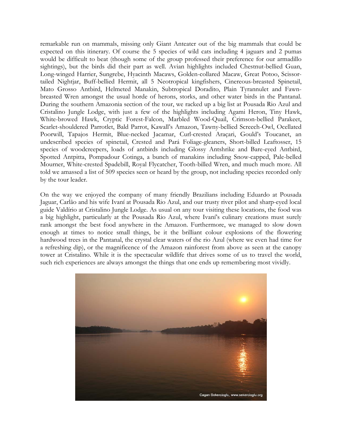remarkable run on mammals, missing only Giant Anteater out of the big mammals that could be expected on this itinerary. Of course the 5 species of wild cats including 4 jaguars and 2 pumas would be difficult to beat (though some of the group professed their preference for our armadillo sightings), but the birds did their part as well. Avian highlights included Chestnut-bellied Guan, Long-winged Harrier, Sungrebe, Hyacinth Macaws, Golden-collared Macaw, Great Potoo, Scissortailed Nightjar, Buff-bellied Hermit, all 5 Neotropical kingfishers, Cinereous-breasted Spinetail, Mato Grosso Antbird, Helmeted Manakin, Subtropical Doradito, Plain Tyrannulet and Fawnbreasted Wren amongst the usual horde of herons, storks, and other water birds in the Pantanal. During the southern Amazonia section of the tour, we racked up a big list at Pousada Rio Azul and Cristalino Jungle Lodge, with just a few of the highlights including Agami Heron, Tiny Hawk, White-browed Hawk, Cryptic Forest-Falcon, Marbled Wood-Quail, Crimson-bellied Parakeet, Scarlet-shouldered Parrotlet, Bald Parrot, Kawall's Amazon, Tawny-bellied Screech-Owl, Ocellated Poorwill, Tapajos Hermit, Blue-necked Jacamar, Curl-crested Araçari, Gould's Toucanet, an undescribed species of spinetail, Crested and Pará Foliage-gleaners, Short-billed Leaftosser, 15 species of woodcreepers, loads of antbirds including Glossy Antshrike and Bare-eyed Antbird, Spotted Antpitta, Pompadour Cotinga, a bunch of manakins including Snow-capped, Pale-belled Mourner, White-crested Spadebill, Royal Flycatcher, Tooth-billed Wren, and much much more. All told we amassed a list of 509 species seen or heard by the group, not including species recorded only by the tour leader.

On the way we enjoyed the company of many friendly Brazilians including Eduardo at Pousada Jaguar, Carlão and his wife Ivaní at Pousada Rio Azul, and our trusty river pilot and sharp-eyed local guide Valdírio at Cristalino Jungle Lodge. As usual on any tour visiting these locations, the food was a big highlight, particularly at the Pousada Rio Azul, where Ivaní's culinary creations must surely rank amongst the best food anywhere in the Amazon. Furthermore, we managed to slow down enough at times to notice small things, be it the brilliant colour explosions of the flowering hardwood trees in the Pantanal, the crystal clear waters of the rio Azul (where we even had time for a refreshing dip), or the magnificence of the Amazon rainforest from above as seen at the canopy tower at Cristalino. While it is the spectacular wildlife that drives some of us to travel the world, such rich experiences are always amongst the things that one ends up remembering most vividly.

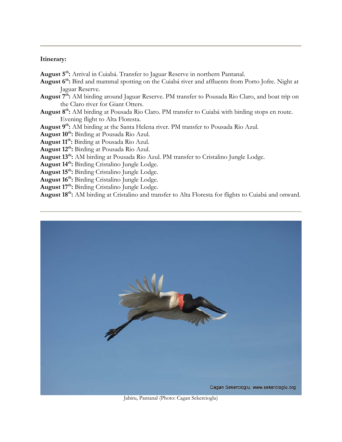#### **Itinerary:**

**August 5th:** Arrival in Cuiabá. Transfer to Jaguar Reserve in northern Pantanal.

- **August 6th:** Bird and mammal spotting on the Cuiabá river and affluents from Porto Jofre. Night at Jaguar Reserve.
- **August 7th:** AM birding around Jaguar Reserve. PM transfer to Pousada Rio Claro, and boat trip on the Claro river for Giant Otters.
- **August 8th:** AM birding at Pousada Rio Claro. PM transfer to Cuiabá with birding stops en route. Evening flight to Alta Floresta.
- **August 9th:** AM birding at the Santa Helena river. PM transfer to Pousada Rio Azul.
- **August 10th:** Birding at Pousada Rio Azul.
- **August 11th:** Birding at Pousada Rio Azul.
- **August 12th:** Birding at Pousada Rio Azul.
- **August 13th:** AM birding at Pousada Rio Azul. PM transfer to Cristalino Jungle Lodge.
- **August 14th:** Birding Cristalino Jungle Lodge.
- **August 15th:** Birding Cristalino Jungle Lodge.
- **August 16th:** Birding Cristalino Jungle Lodge.
- August 17<sup>th</sup>: Birding Cristalino Jungle Lodge.

**August 18th:** AM birding at Cristalino and transfer to Alta Floresta for flights to Cuiabá and onward.



Jabiru, Pantanal (Photo: Cagan Sekercioglu)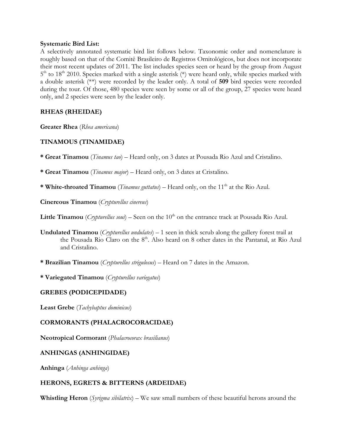#### **Systematic Bird List:**

A selectively annotated systematic bird list follows below. Taxonomic order and nomenclature is roughly based on that of the Comitê Brasileiro de Registros Ornitológicos, but does not incorporate their most recent updates of 2011. The list includes species seen or heard by the group from August  $5<sup>th</sup>$  to 18<sup>th</sup> 2010. Species marked with a single asterisk (\*) were heard only, while species marked with a double asterisk (\*\*) were recorded by the leader only. A total of **509** bird species were recorded during the tour. Of those, 480 species were seen by some or all of the group, 27 species were heard only, and 2 species were seen by the leader only.

# **RHEAS (RHEIDAE)**

**Greater Rhea** (*Rhea americana*)

# **TINAMOUS (TINAMIDAE)**

**\* Great Tinamou** (*Tinamus tao*) – Heard only, on 3 dates at Pousada Rio Azul and Cristalino.

**\* Great Tinamou** (*Tinamus major*) – Heard only, on 3 dates at Cristalino.

**\* White-throated Tinamou** (*Tinamus guttatus*) – Heard only, on the 11<sup>th</sup> at the Rio Azul.

**Cinereous Tinamou** (*Crypturellus cinereus*)

**Little Tinamou** *(Crypturellus soui*) – Seen on the 10<sup>th</sup> on the entrance track at Pousada Rio Azul.

- **Undulated Tinamou** (*Crypturellus undulates*) 1 seen in thick scrub along the gallery forest trail at the Pousada Rio Claro on the 8<sup>th</sup>. Also heard on 8 other dates in the Pantanal, at Rio Azul and Cristalino.
- **\* Brazilian Tinamou** (*Crypturellus strigulosus*) Heard on 7 dates in the Amazon.

**\* Variegated Tinamou** (*Crypturellus variegatus*)

# **GREBES (PODICEPIDADE)**

**Least Grebe** (*Tachybaptus dominicus*)

# **CORMORANTS (PHALACROCORACIDAE)**

**Neotropical Cormorant** (*Phalacrocorax brasilianus*)

# **ANHINGAS (ANHINGIDAE)**

**Anhinga** (*Anhinga anhinga*)

# **HERONS, EGRETS & BITTERNS (ARDEIDAE)**

**Whistling Heron** (*Syrigma sibilatrix*) – We saw small numbers of these beautiful herons around the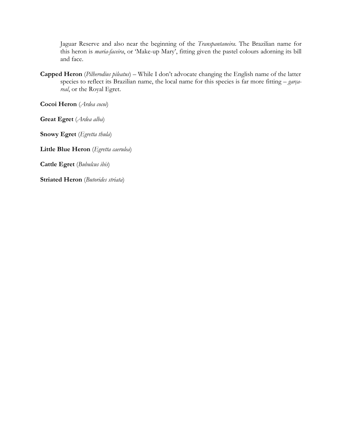Jaguar Reserve and also near the beginning of the *Transpantaneira*. The Brazilian name for this heron is *maria-faceira*, or 'Make-up Mary', fitting given the pastel colours adorning its bill and face.

**Capped Heron** (*Pilherodius pileatus*) – While I don't advocate changing the English name of the latter species to reflect its Brazilian name, the local name for this species is far more fitting – *garçareal*, or the Royal Egret.

**Cocoi Heron** (*Ardea cocoi*)

**Great Egret** (*Ardea alba*)

**Snowy Egret** (*Egretta thula*)

**Little Blue Heron** (*Egretta caerulea*)

**Cattle Egret** (*Bubulcus ibis*)

**Striated Heron** (*Butorides striata*)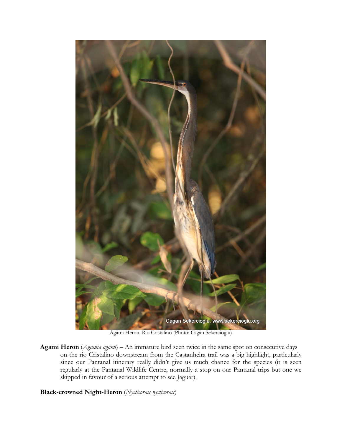

Agami Heron, Rio Cristalino (Photo: Cagan Sekercioglu)

**Agami Heron** (*Agamia agami*) – An immature bird seen twice in the same spot on consecutive days on the rio Cristalino downstream from the Castanheira trail was a big highlight, particularly since our Pantanal itinerary really didn't give us much chance for the species (it is seen regularly at the Pantanal Wildlife Centre, normally a stop on our Pantanal trips but one we skipped in favour of a serious attempt to see Jaguar).

**Black-crowned Night-Heron** (*Nycticorax nycticorax*)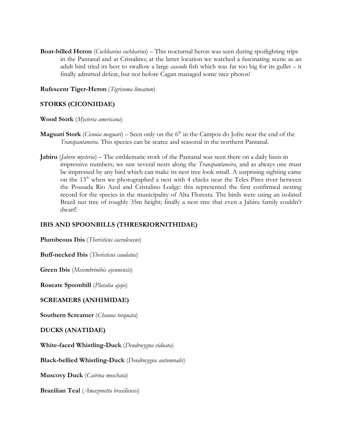**Boat-billed Heron** (*Cochlearius cochlearius*) – This nocturnal heron was seen during spotlighting trips in the Pantanal and at Cristalino; at the latter location we watched a fascinating scene as an adult bird tried its best to swallow a large *cascudo* fish which was far too big for its gullet – it finally admitted defeat, but not before Cagan managed some nice photos!

#### **Rufescent Tiger-Heron** (*Tigrisoma lineatum*)

## **STORKS (CICONIIDAE)**

#### **Wood Stork** (*Mycteria americana*)

- **Maguari Stork** (*Ciconia maguari*) Seen only on the 6<sup>th</sup> in the Campos do Jofre near the end of the *Transpantaneira*. This species can be scarce and seasonal in the northern Pantanal.
- **Jabiru** (*Jabiru mycteria*) The emblematic stork of the Pantanal was seen there on a daily basis in impressive numbers; we saw several nests along the *Transpantaneira*, and as always one must be impressed by any bird which can make its nest tree look small. A surprising sighting came on the  $13<sup>th</sup>$  when we photographed a nest with 4 chicks near the Teles Pires river between the Pousada Rio Azul and Cristalino Lodge: this represented the first confirmed nesting record for the species in the municipality of Alta Floresta. The birds were using an isolated Brazil nut tree of roughly 35m height; finally a nest tree that even a Jabiru family couldn't dwarf!

## **IBIS AND SPOONBILLS (THRESKIORNITHIDAE)**

**Plumbeous Ibis** (*Theristicus caerulescens*)

**Buff-necked Ibis** (*Theristicus caudatus*)

**Green Ibis** (*Mesembrinibis ayennensis*)

**Roseate Spoonbill** (*Platalea ajaja*)

## **SCREAMERS (ANHIMIDAE)**

**Southern Screamer** (*Chauna torquata*)

#### **DUCKS (ANATIDAE)**

**White-faced Whistling-Duck** (*Dendrocygna viduata*)

**Black-bellied Whistling-Duck** (*Dendrocygna autumnalis*)

**Muscovy Duck** (*Cairina moschata*)

**Brazilian Teal** (*Amazonetta brasiliensis*)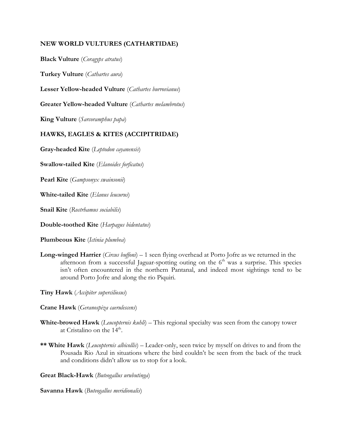## **NEW WORLD VULTURES (CATHARTIDAE)**

**Black Vulture** (*Coragyps atratus*)

**Turkey Vulture** (*Cathartes aura*)

**Lesser Yellow-headed Vulture** (*Cathartes burrovianus*)

**Greater Yellow-headed Vulture** (*Cathartes melambrotus*)

**King Vulture** (*Sarcoramphus papa*)

## **HAWKS, EAGLES & KITES (ACCIPITRIDAE)**

**Gray-headed Kite** (*Leptodon cayanensis*)

**Swallow-tailed Kite** (*Elanoides forficatus*)

**Pearl Kite** (*Gampsonyx swainsonii*)

**White-tailed Kite** (*Elanus leucurus*)

**Snail Kite** (*Rostrhamus sociabilis*)

**Double-toothed Kite** (*Harpagus bidentatus*)

**Plumbeous Kite** (*Ictinia plumbea*)

**Long-winged Harrier** (*Circus buffoni*) – 1 seen flying overhead at Porto Jofre as we returned in the afternoon from a successful Jaguar-spotting outing on the  $6<sup>th</sup>$  was a surprise. This species isn't often encountered in the northern Pantanal, and indeed most sightings tend to be around Porto Jofre and along the rio Piquiri.

**Tiny Hawk** (*Accipiter superciliosus*)

- **Crane Hawk** (*Geranospiza caerulescens*)
- **White-browed Hawk** (*Leucopternis kuhli*) This regional specialty was seen from the canopy tower at Cristalino on the  $14<sup>th</sup>$ .
- **\*\* White Hawk** (*Leucopternis albicollis*) Leader-only, seen twice by myself on drives to and from the Pousada Rio Azul in situations where the bird couldn't be seen from the back of the truck and conditions didn't allow us to stop for a look.

**Great Black-Hawk** (*Buteogallus urubutinga*)

**Savanna Hawk** (*Buteogallus meridionalis*)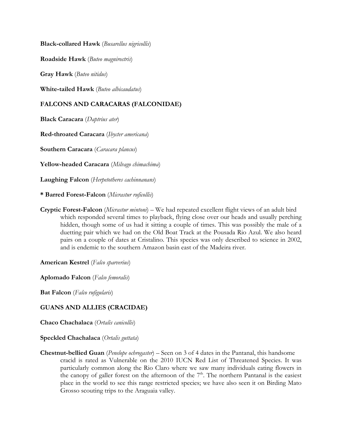**Black-collared Hawk** (*Busarellus nigricollis*)

**Roadside Hawk** (*Buteo magnirostris*)

**Gray Hawk** (*Buteo nitidus*)

**White-tailed Hawk** (*Buteo albicaudatus*)

# **FALCONS AND CARACARAS (FALCONIDAE)**

**Black Caracara** (*Daptrius ater*)

**Red-throated Caracara** (*Ibycter americana*)

**Southern Caracara** (*Caracara plancus*)

**Yellow-headed Caracara** (*Milvago chimachima*)

**Laughing Falcon** (*Herpetotheres cachinnanans*)

**\* Barred Forest-Falcon** (*Micrastur ruficollis*)

**Cryptic Forest-Falcon** (*Micrastur mintoni*) – We had repeated excellent flight views of an adult bird which responded several times to playback, flying close over our heads and usually perching hidden, though some of us had it sitting a couple of times. This was possibly the male of a duetting pair which we had on the Old Boat Track at the Pousada Rio Azul. We also heard pairs on a couple of dates at Cristalino. This species was only described to science in 2002, and is endemic to the southern Amazon basin east of the Madeira river.

**American Kestrel** (*Falco sparverius*)

**Aplomado Falcon** (*Falco femoralis*)

**Bat Falcon** (*Falco rufigularis*)

## **GUANS AND ALLIES (CRACIDAE)**

**Chaco Chachalaca** (*Ortalis canicollis*)

**Speckled Chachalaca** (*Ortalis guttata*)

**Chestnut-bellied Guan** (*Penelope ochrogaster*) – Seen on 3 of 4 dates in the Pantanal, this handsome cracid is rated as Vulnerable on the 2010 IUCN Red List of Threatened Species. It was particularly common along the Rio Claro where we saw many individuals eating flowers in the canopy of galler forest on the afternoon of the  $7<sup>th</sup>$ . The northern Pantanal is the easiest place in the world to see this range restricted species; we have also seen it on Birding Mato Grosso scouting trips to the Araguaia valley.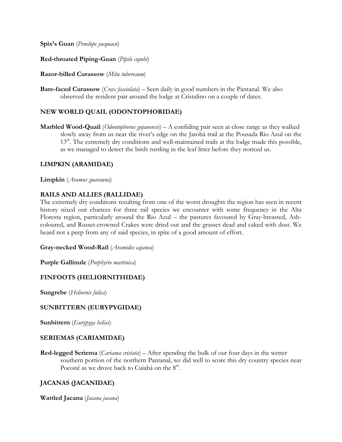**Spix's Guan** (*Penelope jacquacu*)

## **Red-throated Piping-Guan** (*Pipile cujubi*)

#### **Razor-billed Curassow** (*Mitu tuberosum*)

**Bare-faced Curassow** (*Crax fasciolata*) – Seen daily in good numbers in the Pantanal. We also observed the resident pair around the lodge at Cristalino on a couple of dates.

# **NEW WORLD QUAIL (ODONTOPHORIDAE)**

**Marbled Wood-Quail** (*Odontophorus gujanensis*) – A confiding pair seen at close range as they walked slowly away from us near the river's edge on the Jatobá trail at the Pousada Rio Azul on the  $13<sup>th</sup>$ . The extremely dry conditions and well-maintained trails at the lodge made this possible, as we managed to detect the birds rustling in the leaf litter before they noticed us.

## **LIMPKIN (ARAMIDAE)**

**Limpkin** (*Aramus guarauna*)

## **RAILS AND ALLIES (RALLIDAE)**

The extremely dry conditions resulting from one of the worst droughts the region has seen in recent history nixed our chances for three rail species we encounter with some frequency in the Alta Floresta region, particularly around the Rio Azul – the pastures favoured by Gray-breasted, Ashcoloured, and Russet-crowned Crakes were dried out and the grasses dead and caked with dust. We heard not a peep from any of said species, in spite of a good amount of effort.

## **Gray-necked Wood-Rail** (*Aramides cajanea*)

**Purple Gallinule** (*Porphyrio martinica*)

## **FINFOOTS (HELIORNITHIDAE)**

**Sungrebe** (*Heliornis fulica*)

## **SUNBITTERN (EURYPYGIDAE)**

**Sunbittern** (*Eurypyga helias*)

## **SERIEMAS (CARIAMIDAE)**

**Red-legged Seriema** (*Cariama cristata*) – After spending the bulk of our four days in the wetter southern portion of the northern Pantanal, we did well to score this dry country species near Poconé as we drove back to Cuiabá on the  $8<sup>th</sup>$ .

# **JACANAS (JACANIDAE)**

**Wattled Jacana** (*Jacana jacana*)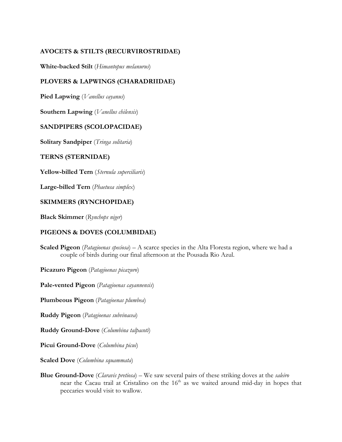# **AVOCETS & STILTS (RECURVIROSTRIDAE)**

**White-backed Stilt** (*Himantopus melanurus*)

# **PLOVERS & LAPWINGS (CHARADRIIDAE)**

**Pied Lapwing** (*Vanellus cayanus*)

**Southern Lapwing** (*Vanellus chilensis*)

## **SANDPIPERS (SCOLOPACIDAE)**

**Solitary Sandpiper** (*Tringa solitaria*)

#### **TERNS (STERNIDAE)**

**Yellow-billed Tern** (*Sternula superciliaris*)

**Large-billed Tern** (*Phaetusa simplex*)

#### **SKIMMERS (RYNCHOPIDAE)**

**Black Skimmer** (*Rynchops niger*)

#### **PIGEONS & DOVES (COLUMBIDAE)**

**Scaled Pigeon** (*Patagioenas speciosa*) – A scarce species in the Alta Floresta region, where we had a couple of birds during our final afternoon at the Pousada Rio Azul.

**Picazuro Pigeon** (*Patagioenas picazuro*)

**Pale-vented Pigeon** (*Patagioenas cayannensis*)

**Plumbeous Pigeon** (*Patagioenas plumbea*)

**Ruddy Pigeon** (*Patagioenas subvinacea*)

**Ruddy Ground-Dove** (*Columbina talpacoti*)

**Picui Ground-Dove** (*Columbina picui*)

**Scaled Dove** (*Columbina squammata*)

**Blue Ground-Dove** (*Claravis pretiosa*) – We saw several pairs of these striking doves at the *saleiro* near the Cacau trail at Cristalino on the 16<sup>th</sup> as we waited around mid-day in hopes that peccaries would visit to wallow.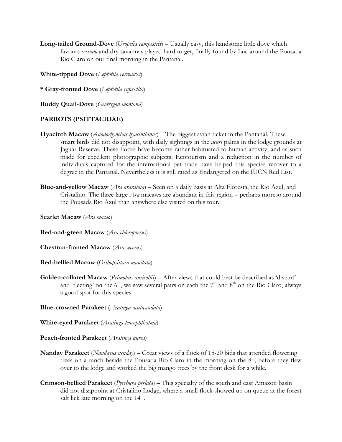**Long-tailed Ground-Dove** (*Uropelia campestris*) – Usually easy, this handsome little dove which favours *cerrado* and dry savannas played hard to get, finally found by Luc around the Pousada Rio Claro on our final morning in the Pantanal.

**White-tipped Dove** (*Leptotila verreauxi*)

**\* Gray-fronted Dove** (*Leptotila rufaxilla*)

**Ruddy Quail-Dove** (*Geotrygon montana*)

#### **PARROTS (PSITTACIDAE)**

- **Hyacinth Macaw** (*Anodorhynchus hyacinthinus*) The biggest avian ticket in the Pantanal. These smart birds did not disappoint, with daily sightings in the *acurí* palms in the lodge grounds at Jaguar Reserve. These flocks have become rather habituated to human activity, and as such made for excellent photographic subjects. Ecotourism and a reduction in the number of individuals captured for the international pet trade have helped this species recover to a degree in the Pantanal. Nevertheless it is still rated as Endangered on the IUCN Red List.
- **Blue-and-yellow Macaw** (*Ara ararauna*) Seen on a daily basis at Alta Floresta, the Rio Azul, and Cristalino. The three large *Ara* macaws are abundant in this region – perhaps moreso around the Pousada Rio Azul than anywhere else visited on this tour.

**Scarlet Macaw** (*Ara macao*)

**Red-and-green Macaw** (*Ara chloropterus*)

**Chestnut-fronted Macaw** (*Ara severus*)

**Red-bellied Macaw** (*Orthopsittaca manilata*)

**Golden-collared Macaw** (*Primolius auricollis*) – After views that could best be described as 'distant' and 'fleeting' on the  $6<sup>th</sup>$ , we saw several pairs on each the  $7<sup>th</sup>$  and  $8<sup>th</sup>$  on the Rio Claro, always a good spot for this species.

**Blue-crowned Parakeet** (*Aratinga acuticaudata*)

**White-eyed Parakeet** (*Aratinga leucophthalma*)

**Peach-fronted Parakeet** (*Aratinga aurea*)

- **Nanday Parakeet** (*Nandayus nenday*) Great views of a flock of 15-20 bids that attended flowering trees on a ranch beside the Pousada Rio Claro in the morning on the  $8<sup>th</sup>$ , before they flew over to the lodge and worked the big mango trees by the front desk for a while.
- **Crimson-bellied Parakeet** (*Pyrrhura perlata*) This specialty of the south and east Amazon basin did not disappoint at Cristalino Lodge, where a small flock showed up on queue at the forest salt lick late morning on the  $14<sup>th</sup>$ .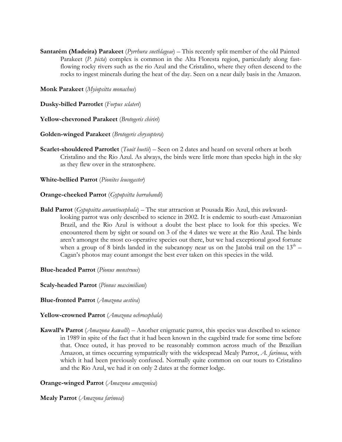**Santarém (Madeira) Parakeet** (*Pyrrhura snethlageae*) – This recently split member of the old Painted Parakeet (*P. picta*) complex is common in the Alta Floresta region, particularly along fastflowing rocky rivers such as the rio Azul and the Cristalino, where they often descend to the rocks to ingest minerals during the heat of the day. Seen on a near daily basis in the Amazon.

**Monk Parakeet** (*Myiopsitta monachus*)

**Dusky-billed Parrotlet** (*Forpus sclateri*)

**Yellow-chevroned Parakeet** (*Brotogeris chiriri*)

**Golden-winged Parakeet** (*Brotogeris chrysoptera*)

**Scarlet-shouldered Parrotlet** (*Touit huetii*) – Seen on 2 dates and heard on several others at both Cristalino and the Rio Azul. As always, the birds were little more than specks high in the sky as they flew over in the stratosphere.

**White-bellied Parrot** (*Pionites leucogaster*)

#### **Orange-cheeked Parrot** (*Gypopsitta barrabandi*)

**Bald Parrot** (*Gypopsitta aurantiocephala*) – The star attraction at Pousada Rio Azul, this awkwardlooking parrot was only described to science in 2002. It is endemic to south-east Amazonian Brazil, and the Rio Azul is without a doubt the best place to look for this species. We encountered them by sight or sound on 3 of the 4 dates we were at the Rio Azul. The birds aren't amongst the most co-operative species out there, but we had exceptional good fortune when a group of 8 birds landed in the subcanopy near us on the Jatobá trail on the  $13<sup>th</sup>$  – Cagan's photos may count amongst the best ever taken on this species in the wild.

**Blue-headed Parrot** (*Pionus menstruus*)

**Scaly-headed Parrot** (*Pionus maximiliani*)

**Blue-fronted Parrot** (*Amazona aestiva*)

**Yellow-crowned Parrot** (*Amazona ochrocephala*)

**Kawall's Parrot** (*Amazona kawalli*) – Another enigmatic parrot, this species was described to science in 1989 in spite of the fact that it had been known in the cagebird trade for some time before that. Once outed, it has proved to be reasonably common across much of the Brazilian Amazon, at times occurring sympatrically with the widespread Mealy Parrot, *A. farinosa*, with which it had been previously confused. Normally quite common on our tours to Cristalino and the Rio Azul, we had it on only 2 dates at the former lodge.

## **Orange-winged Parrot** (*Amazona amazonica*)

**Mealy Parrot** (*Amazona farinosa*)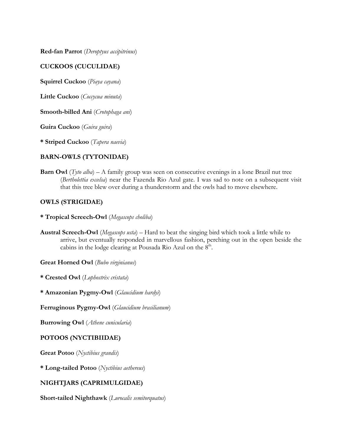**Red-fan Parrot** (*Deroptyus accipitrinus*)

## **CUCKOOS (CUCULIDAE)**

**Squirrel Cuckoo** (*Piaya cayana*)

**Little Cuckoo** (*Coccycua minuta*)

**Smooth-billed Ani** (*Crotophaga ani*)

**Guira Cuckoo** (*Guira guira*)

**\* Striped Cuckoo** (*Tapera naevia*)

## **BARN-OWLS (TYTONIDAE)**

**Barn Owl** (*Tyto alba*) – A family group was seen on consecutive evenings in a lone Brazil nut tree (*Bertholettia excelsa*) near the Fazenda Rio Azul gate. I was sad to note on a subsequent visit that this tree blew over during a thunderstorm and the owls had to move elsewhere.

#### **OWLS (STRIGIDAE)**

- **\* Tropical Screech-Owl** (*Megascops choliba*)
- **Austral Screech-Owl** (*Megascops usta*) Hard to beat the singing bird which took a little while to arrive, but eventually responded in marvellous fashion, perching out in the open beside the cabins in the lodge clearing at Pousada Rio Azul on the  $8<sup>th</sup>$ .

**Great Horned Owl** (*Bubo virginianus*)

**\* Crested Owl** (*Lophostrix cristata*)

**\* Amazonian Pygmy-Owl** (*Glaucidium hardyi*)

**Ferruginous Pygmy-Owl** (*Glaucidium brasilianum*)

**Burrowing Owl** (*Athene cunicularia*)

#### **POTOOS (NYCTIBIIDAE)**

**Great Potoo** (*Nyctibius grandis*)

**\* Long-tailed Potoo** (*Nyctibius aethereus*)

## **NIGHTJARS (CAPRIMULGIDAE)**

**Short-tailed Nighthawk** (*Lurocalis semitorquatus*)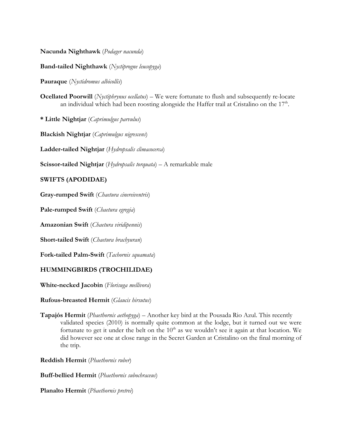**Nacunda Nighthawk** (*Podager nacunda*)

**Band-tailed Nighthawk** (*Nyctiprogne leucopyga*)

**Pauraque** (*Nyctidromus albicollis*)

**Ocellated Poorwill** (*Nyctiphrynus ocellatus*) – We were fortunate to flush and subsequently re-locate an individual which had been roosting alongside the Haffer trail at Cristalino on the  $17<sup>th</sup>$ .

**\* Little Nightjar** (*Caprimulgus parvulus*)

**Blackish Nightjar** (*Caprimulgus nigrescens*)

**Ladder-tailed Nightjar** (*Hydropsalis climacocerca*)

**Scissor-tailed Nightjar** (*Hydropsalis torquata*) – A remarkable male

## **SWIFTS (APODIDAE)**

**Gray-rumped Swift** (*Chaetura cinereiventris*)

**Pale-rumped Swift** (*Chaetura egregia*)

**Amazonian Swift** (*Chaetura viridipennis*)

**Short-tailed Swift** (*Chaetura brachyuran*)

**Fork-tailed Palm-Swift** (*Tachornis squamata*)

## **HUMMINGBIRDS (TROCHILIDAE)**

**White-necked Jacobin** (*Florisuga mellivora*)

#### **Rufous-breasted Hermit** (*Glaucis hirsutus*)

**Tapajós Hermit** (*Phaethornis aethopyga*) – Another key bird at the Pousada Rio Azul. This recently validated species (2010) is normally quite common at the lodge, but it turned out we were fortunate to get it under the belt on the  $10<sup>th</sup>$  as we wouldn't see it again at that location. We did however see one at close range in the Secret Garden at Cristalino on the final morning of the trip.

**Reddish Hermit** (*Phaethornis ruber*)

**Buff-bellied Hermit** (*Phaethornis subochraceus*)

**Planalto Hermit** (*Phaethornis pretrei*)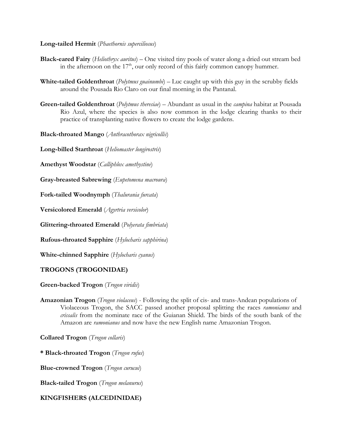#### **Long-tailed Hermit** (*Phaethornis superciliosus*)

- **Black-eared Fairy** (*Heliothryx auritus*) One visited tiny pools of water along a dried out stream bed in the afternoon on the  $17<sup>th</sup>$ , our only record of this fairly common canopy hummer.
- **White-tailed Goldenthroat** (*Polytmus guainumbi*) Luc caught up with this guy in the scrubby fields around the Pousada Rio Claro on our final morning in the Pantanal.
- **Green-tailed Goldenthroat** (*Polytmus theresiae*) Abundant as usual in the *campina* habitat at Pousada Rio Azul, where the species is also now common in the lodge clearing thanks to their practice of transplanting native flowers to create the lodge gardens.

**Black-throated Mango** (*Anthracothorax nigricollis*)

**Long-billed Starthroat** (*Heliomaster longirostris*)

**Amethyst Woodstar** (*Calliphlox amethystine*)

**Gray-breasted Sabrewing** (*Eupetomena macroura*)

**Fork-tailed Woodnymph** (*Thalurania furcata*)

**Versicolored Emerald** (*Agyrtria versicolor*)

**Glittering-throated Emerald** (*Polyerata fimbriata*)

**Rufous-throated Sapphire** (*Hylocharis sapphirina*)

**White-chinned Sapphire** (*Hylocharis cyanus*)

## **TROGONS (TROGONIDAE)**

**Green-backed Trogon** (*Trogon viridis*)

**Amazonian Trogon** (*Trogon violaceus*) - Following the split of cis- and trans-Andean populations of Violaceous Trogon, the SACC passed another proposal splitting the races *ramonianus* and *crissalis* from the nominate race of the Guianan Shield. The birds of the south bank of the Amazon are *ramonianus* and now have the new English name Amazonian Trogon.

**Collared Trogon** (*Trogon collaris*)

**\* Black-throated Trogon** (*Trogon rufus*)

**Blue-crowned Trogon** (*Trogon curucui*)

**Black-tailed Trogon** (*Trogon melanurus*)

## **KINGFISHERS (ALCEDINIDAE)**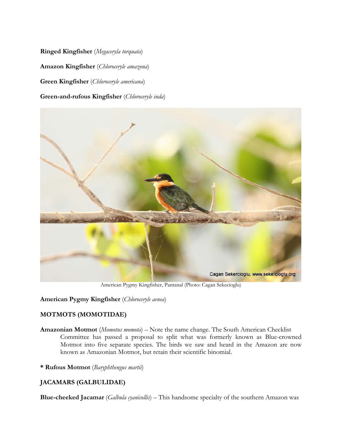**Ringed Kingfisher** (*Megaceryla torquata*) **Amazon Kingfisher** (*Chloroceryle amazona*) **Green Kingfisher** (*Chloroceryle americana*) **Green-and-rufous Kingfisher** (*Chloroceryle inda*)



American Pygmy Kingfisher, Pantanal (Photo: Cagan Sekecioglu)

**American Pygmy Kingfisher** (*Chloroceryle aenea*)

# **MOTMOTS (MOMOTIDAE)**

- **Amazonian Motmot** (*Momotus momota*) Note the name change. The South American Checklist Committee has passed a proposal to split what was formerly known as Blue-crowned Motmot into five separate species. The birds we saw and heard in the Amazon are now known as Amazonian Motmot, but retain their scientific binomial.
- **\* Rufous Motmot** (*Baryphthengus martii*)

# **JACAMARS (GALBULIDAE)**

**Blue-cheeked Jacamar** (*Galbula cyanicollis*) – This handsome specialty of the southern Amazon was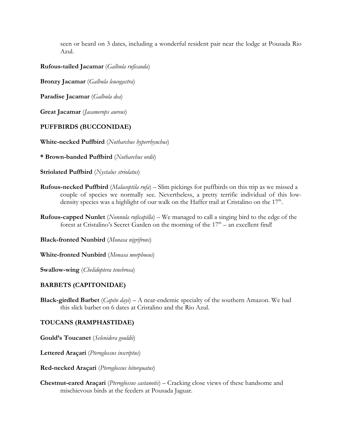seen or heard on 3 dates, including a wonderful resident pair near the lodge at Pousada Rio Azul.

## **Rufous-tailed Jacamar** (*Galbula ruficauda*)

**Bronzy Jacamar** (*Galbula leucogastra*)

**Paradise Jacamar** (*Galbula dea*)

**Great Jacamar** (*Jacamerops aureus*)

## **PUFFBIRDS (BUCCONIDAE)**

**White-necked Puffbird** (*Notharchus hyperrhynchus*)

**\* Brown-banded Puffbird** (*Notharchus ordii*)

**Striolated Puffbird** (*Nystalus striolatus*)

- **Rufous-necked Puffbird** (*Malacoptila rufa*) Slim pickings for puffbirds on this trip as we missed a couple of species we normally see. Nevertheless, a pretty terrific individual of this lowdensity species was a highlight of our walk on the Haffer trail at Cristalino on the  $17<sup>th</sup>$ .
- **Rufous-capped Nunlet** (*Nonnula ruficapilla*) We managed to call a singing bird to the edge of the forest at Cristalino's Secret Garden on the morning of the  $17<sup>th</sup>$  – an excellent find!

**Black-fronted Nunbird** (*Monasa nigrifrons*)

**White-fronted Nunbird** (*Monasa morphoeus*)

**Swallow-wing** (*Chelidoptera tenebrosa*)

## **BARBETS (CAPITONIDAE)**

**Black-girdled Barbet** (*Capito dayi*) – A near-endemic specialty of the southern Amazon. We had this slick barbet on 6 dates at Cristalino and the Rio Azul.

## **TOUCANS (RAMPHASTIDAE)**

**Gould's Toucanet** (*Selenidera gouldii*)

**Lettered Araçari** (*Pteroglossus inscriptus*)

**Red-necked Araçari** (*Pteroglossus bitorquatus*)

**Chestnut-eared Araçari** (*Pteroglossus castanotis*) – Cracking close views of these handsome and mischievous birds at the feeders at Pousada Jaguar.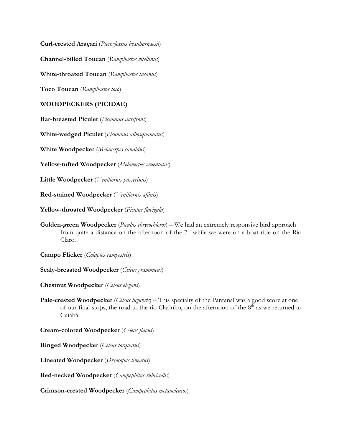**Curl-crested Araçari** (*Pteroglossus beauharnaesii*)

**Channel-billed Toucan** (*Ramphastos vitellinus*)

**White-throated Toucan** (*Ramphastos tucanus*)

**Toco Toucan** (*Ramphastos toco*)

## **WOODPECKERS (PICIDAE)**

**Bar-breasted Piculet** (*Picumnus aurifrons*)

**White-wedged Piculet** (*Picumnus albosquamatus*)

**White Woodpecker** (*Melanerpes candidus*)

**Yellow-tufted Woodpecker** (*Melanerpes cruentatus*)

**Little Woodpecker** (*Veniliornis passerinus*)

**Red-stained Woodpecker** (*Veniliornis affinis*)

**Yellow-throated Woodpecker** (*Piculus flavigula*)

**Golden-green Woodpecker** (*Piculus chrysochloros*) – We had an extremely responsive bird approach from quite a distance on the afternoon of the  $7<sup>th</sup>$  while we were on a boat ride on the Rio Claro.

**Campo Flicker** (*Colaptes campestris*)

**Scaly-breasted Woodpecker** (*Celeus grammicus*)

**Chestnut Woodpecker** (*Celeus elegans*)

**Pale-crested Woodpecker** (*Celeus lugubris*) – This specialty of the Pantanal was a good score at one of our final stops, the road to the rio Clarinho, on the afternoon of the  $8<sup>th</sup>$  as we returned to Cuiabá.

**Cream-colored Woodpecker** (*Celeus flavus*)

**Ringed Woodpecker** (*Celeus torquatus*)

**Lineated Woodpecker** (*Dryocopus lineatus*)

**Red-necked Woodpecker** (*Campephilus rubricollis*)

**Crimson-crested Woodpecker** (*Campephilus melanoleucos*)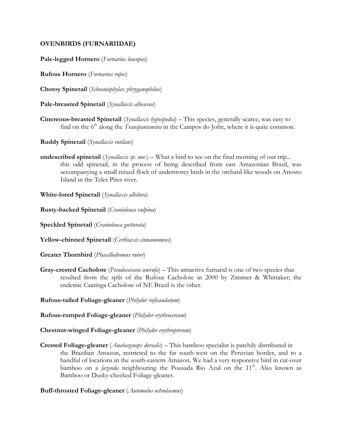## **OVENBIRDS (FURNARIIDAE)**

**Pale-legged Hornero** (*Furnarius leucopus*)

**Rufous Hornero** (*Furnarius rufus*)

**Chotoy Spinetail** (*Schoeniophylax phryganophilus*)

**Pale-breasted Spinetail** (*Synallaxis albescens*)

- **Cinereous-breasted Spinetail** (*Synallaxis hypospodia*) This species, generally scarce, was easy to find on the 6<sup>th</sup> along the *Transpantaneira* in the Campos do Jofre, where it is quite common.
- **Ruddy Spinetail** (*Synallaxis rutilans*)
- **undescribed spinetail** (*Synallaxis sp. nov.*) What a bird to see on the final morning of our trip... this odd spinetail, in the process of being described from east Amazonian Brazil, was accompanying a small mixed flock of understorey birds in the orchard-like woods on Ariosto Island in the Teles Pires river.

**White-lored Spinetail** (*Synallaxis albilora*)

**Rusty-backed Spinetail** (*Cranioleuca vulpina*)

**Speckled Spinetail** (*Cranioleuca gutturata*)

**Yellow-chinned Spinetail** (*Certhiaxis cinnamomeus*)

**Greater Thornbird** (*Phacellodromus ruber*)

**Gray-crested Cacholote** (*Pseudoseisura unirufa*) – This attractive furnarid is one of two species that resulted from the split of the Rufous Cacholote in 2000 by Zimmer & Whittaker; the endemic Caatinga Cacholote of NE Brazil is the other.

**Rufous-tailed Foliage-gleaner** (*Philydor ruficaudatum*)

**Rufous-rumped Foliage-gleaner** (*Philydor erythrocercum*)

**Chestnut-winged Foliage-gleaner** (*Philydor erythropterum*)

**Crested Foliage-gleaner** (*Anabazenops dorsalis*) – This bamboo specialist is patchily distributed in the Brazilian Amazon, restricted to the far south-west on the Peruvian border, and to a handful of locations in the south-eastern Amazon. We had a very responsive bird in cut-over bamboo on a *fazenda* neighbouring the Pousada Rio Azul on the 11<sup>th</sup>. Also known as Bamboo or Dusky-cheeked Foliage-gleaner.

**Buff-throated Foliage-gleaner** (*Automolus ochrolaemus*)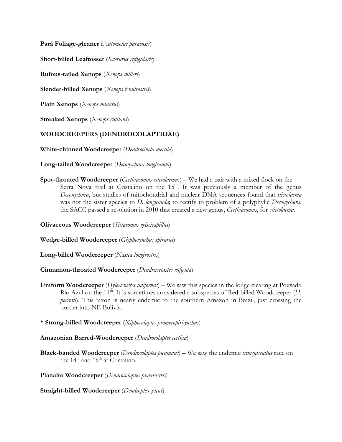**Pará Foliage-gleaner** (*Automolus paraensis*)

**Short-billed Leaftosser** (*Sclerurus rufigularis*)

**Rufous-tailed Xenops** (*Xenops milleri*)

**Slender-billed Xenops** (*Xenops tenuirostris*)

**Plain Xenops** (*Xenops minutus*)

**Streaked Xenops** (*Xenops rutilans*)

## **WOODCREEPERS (DENDROCOLAPTIDAE)**

**White-chinned Woodcreeper** (*Dendrocincla merula*)

**Long-tailed Woodcreeper** (*Deconychura longicauda*)

**Spot-throated Woodcreeper** (*Certhiasomus stictolaemus*) – We had a pair with a mixed flock on the Serra Nova trail at Cristalino on the  $15<sup>th</sup>$ . It was previously a member of the genus *Deconychura*, but studies of mitochondrial and nuclear DNA sequences found that *stictolaema* was not the sister species to *D. longicauda*; to rectify to problem of a polyphylic *Deconychura*, the SACC passed a resolution in 2010 that created a new genus, *Certhiasomus*, for *stictolaema*.

**Olivaceous Woodcreeper** (*Sittasomus griseicapillus*)

**Wedge-billed Woodcreeper** (*Glyphorynchus spirurus*)

**Long-billed Woodcreeper** (*Nasica longirostris*)

**Cinnamon-throated Woodcreeper** (*Dendrexetastes rufigula*)

- **Uniform Woodcreeper** (*Hylexetastes uniformis*) We saw this species in the lodge clearing at Pousada Rio Azul on the 11<sup>th</sup>. It is sometimes considered a subspecies of Red-billed Woodcreeper (*H*. *perrotii*). This taxon is nearly endemic to the southern Amazon in Brazil, just crossing the border into NE Bolivia.
- **\* Strong-billed Woodcreeper** (*Xiphocolaptes promeropirhynchus*)

**Amazonian Barred-Woodcreeper** (*Dendrocolaptes certhia*)

**Black-banded Woodcreeper** (*Dendrocolaptes picumnus*) – We saw the endemic *transfasciatus* race on the  $14<sup>th</sup>$  and  $16<sup>th</sup>$  at Cristalino.

**Planalto Woodcreeper** (*Dendrocolaptes platyrostris*)

**Straight-billed Woodcreeper** (*Dendroplex picus*)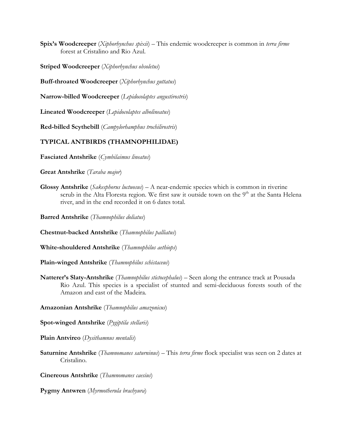**Spix's Woodcreeper** (*Xiphorhynchus spixii*) – This endemic woodcreeper is common in *terra firme* forest at Cristalino and Rio Azul.

**Striped Woodcreeper** (*Xiphorhynchus obsoletus*)

**Buff-throated Woodcreeper** (*Xiphorhynchus guttatus*)

**Narrow-billed Woodcreeper** (*Lepidocolaptes angustirostris*)

**Lineated Woodcreeper** (*Lepidocolaptes albolineatus*)

**Red-billed Scythebill** (*Campylorhamphus trochilirostris*)

#### **TYPICAL ANTBIRDS (THAMNOPHILIDAE)**

**Fasciated Antshrike** (*Cymbilaimus lineatus*)

**Great Antshrike** (*Taraba major*)

**Glossy Antshrike** (*Sakesphorus luctuosus*) – A near-endemic species which is common in riverine scrub in the Alta Floresta region. We first saw it outside town on the  $9<sup>th</sup>$  at the Santa Helena river, and in the end recorded it on 6 dates total.

**Barred Antshrike** (*Thamnophilus doliatus*)

**Chestnut-backed Antshrike** (*Thamnophilus palliatus*)

**White-shouldered Antshrike** (*Thamnophilus aethiops*)

**Plain-winged Antshrike** (*Thamnophilus schistaceus*)

**Natterer's Slaty-Antshrike** (*Thamnophilus stictocephalus*) – Seen along the entrance track at Pousada Rio Azul. This species is a specialist of stunted and semi-deciduous forests south of the Amazon and east of the Madeira.

**Amazonian Antshrike** (*Thamnophilus amazonicus*)

**Spot-winged Antshrike** (*Pygiptila stellaris*)

**Plain Antvireo** (*Dysithamnus mentalis*)

**Saturnine Antshrike** (*Thamnomanes saturninus*) – This *terra firme* flock specialist was seen on 2 dates at Cristalino.

**Cinereous Antshrike** (*Thamnomanes caesius*)

**Pygmy Antwren** (*Myrmotherula brachyura*)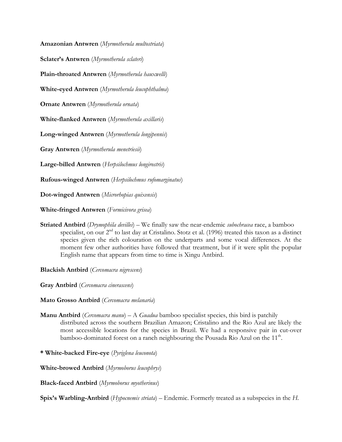**Amazonian Antwren** (*Myrmotherula multostriata*)

**Sclater's Antwren** (*Myrmotherula sclateri*)

**Plain-throated Antwren** (*Myrmotherula hauxwelli*)

**White-eyed Antwren** (*Myrmotherula leucophthalma*)

**Ornate Antwren** (*Myrmotherula ornata*)

**White-flanked Antwren** (*Myrmotherula axillaris*)

**Long-winged Antwren** (*Myrmotherula longipennis*)

**Gray Antwren** (*Myrmotherula menetriesii*)

**Large-billed Antwren** (*Herpsilochmus longirostris*)

**Rufous-winged Antwren** (*Herpsilochmus rufomarginatus*)

**Dot-winged Antwren** (*Microrhopias quixensis*)

**White-fringed Antwren** (*Formicivora grisea*)

**Striated Antbird** (*Drymophila devillei*) – We finally saw the near-endemic *subochracea* race, a bamboo specialist, on our  $2<sup>nd</sup>$  to last day at Cristalino. Stotz et al. (1996) treated this taxon as a distinct species given the rich colouration on the underparts and some vocal differences. At the moment few other authorities have followed that treatment, but if it were split the popular English name that appears from time to time is Xingu Antbird.

**Blackish Antbird** (*Cercomacra nigrescens*)

**Gray Antbird** (*Cercomacra cinerascens*)

**Mato Grosso Antbird** (*Cercomacra melanaria*)

**Manu Antbird** (*Cercomacra manu*) – A *Guadua* bamboo specialist species, this bird is patchily distributed across the southern Brazilian Amazon; Cristalino and the Rio Azul are likely the most accessible locations for the species in Brazil. We had a responsive pair in cut-over bamboo-dominated forest on a ranch neighbouring the Pousada Rio Azul on the  $11<sup>th</sup>$ .

**\* White-backed Fire-eye** (*Pyriglena leuconota*)

**White-browed Antbird** (*Myrmoborus leucophrys*)

**Black-faced Antbird** (*Myrmoborus myotherinus*)

**Spix's Warbling-Antbird** (*Hypocnemis striata*) – Endemic. Formerly treated as a subspecies in the *H.*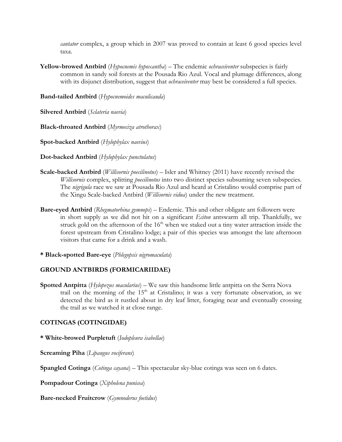*cantator* complex, a group which in 2007 was proved to contain at least 6 good species level taxa.

**Yellow-browed Antbird** (*Hypocnemis hypoxantha*) – The endemic *ochraceiventer* subspecies is fairly common in sandy soil forests at the Pousada Rio Azul. Vocal and plumage differences, along with its disjunct distribution, suggest that *ochraceiventer* may best be considered a full species.

**Band-tailed Antbird** (*Hypocnemoides maculicauda*)

**Silvered Antbird** (*Sclateria naevia*)

**Black-throated Antbird** (*Myrmeciza atrothorax*)

**Spot-backed Antbird** (*Hylophylax naevius*)

**Dot-backed Antbird** (*Hylophylax punctulatus*)

- **Scale-backed Antbird** (*Willisornis poecilinotus*) Isler and Whitney (2011) have recently revised the *Willisornis* complex, splitting *poecilinotus* into two distinct species subsuming seven subspecies. The *nigrigula* race we saw at Pousada Rio Azul and heard at Cristalino would comprise part of the Xingu Scale-backed Antbird (*Willisornis vidua*) under the new treatment.
- **Bare-eyed Antbird** (*Rhegmatorhina gymnops*) Endemic. This and other obligate ant followers were in short supply as we did not hit on a significant *Eciton* antswarm all trip. Thankfully, we struck gold on the afternoon of the  $16<sup>th</sup>$  when we staked out a tiny water attraction inside the forest upstream from Cristalino lodge; a pair of this species was amongst the late afternoon visitors that came for a drink and a wash.
- **\* Black-spotted Bare-eye** (*Phlegopsis nigromaculata*)

## **GROUND ANTBIRDS (FORMICARIIDAE)**

**Spotted Antpitta** (*Hylopezus macularius*) – We saw this handsome little antpitta on the Serra Nova trail on the morning of the  $15<sup>th</sup>$  at Cristalino; it was a very fortunate observation, as we detected the bird as it rustled about in dry leaf litter, foraging near and eventually crossing the trail as we watched it at close range.

## **COTINGAS (COTINGIDAE)**

**\* White-browed Purpletuft** (*Iodopleura isabellae*)

**Screaming Piha** (*Lipaugus vociferans*)

**Spangled Cotinga** (*Cotinga cayana*) – This spectacular sky-blue cotinga was seen on 6 dates.

**Pompadour Cotinga** (*Xipholena punicea*)

**Bare-necked Fruitcrow** (*Gymnoderus foetidus*)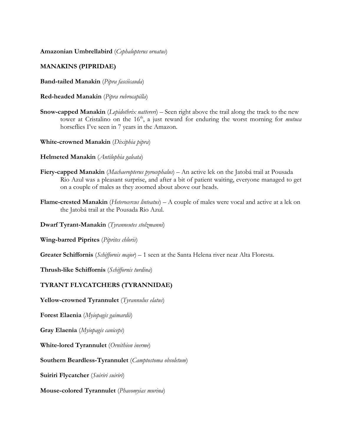**Amazonian Umbrellabird** (*Cephalopterus ornatus*)

#### **MANAKINS (PIPRIDAE)**

**Band-tailed Manakin** (*Pipra fasciicauda*)

**Red-headed Manakin** (*Pipra rubrocapilla*)

- **Snow-capped Manakin** (*Lepidothrix nattereri*) Seen right above the trail along the track to the new tower at Cristalino on the 16<sup>th</sup>, a just reward for enduring the worst morning for *mutuca* horseflies I've seen in 7 years in the Amazon.
- **White-crowned Manakin** (*Dixiphia pipra*)
- **Helmeted Manakin** (*Antilophia galeata*)
- **Fiery-capped Manakin** (*Machaeropterus pyrocephalus*) An active lek on the Jatobá trail at Pousada Rio Azul was a pleasant surprise, and after a bit of patient waiting, everyone managed to get on a couple of males as they zoomed about above our heads.
- **Flame-crested Manakin** (*Heterocercus linteatus*) A couple of males were vocal and active at a lek on the Jatobá trail at the Pousada Rio Azul.

**Dwarf Tyrant-Manakin** (*Tyranneutes stolzmanni*)

**Wing-barred Piprites** (*Piprites chloris*)

**Greater Schiffornis** (*Schiffornis major*) – 1 seen at the Santa Helena river near Alta Floresta.

**Thrush-like Schiffornis** (*Schiffornis turdina*)

## **TYRANT FLYCATCHERS (TYRANNIDAE)**

**Yellow-crowned Tyrannulet** (*Tyrannulus elatus*)

**Forest Elaenia** (*Myiopagis gaimardii*)

**Gray Elaenia** (*Myiopagis caniceps*)

**White-lored Tyrannulet** (*Ornithion inerme*)

**Southern Beardless-Tyrannulet** (*Camptostoma obsoletum*)

**Suiriri Flycatcher** (*Suiriri suiriri*)

**Mouse-colored Tyrannulet** (*Phaeomyias murina*)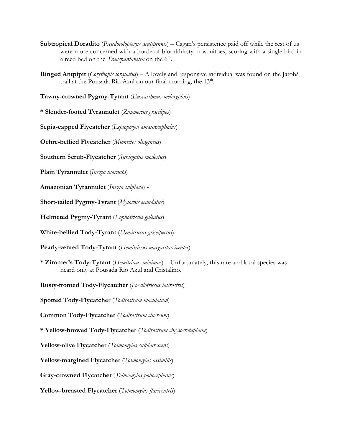- **Subtropical Doradito** (*Pseudocolopteryx acutipennis*) Cagan's persistence paid off while the rest of us were more concerned with a horde of bloodthirsty mosquitoes, scoring with a single bird in a reed bed on the *Transpantaneira* on the 6<sup>th</sup>.
- **Ringed Antpipit** (*Corythopis torquatus*) A lovely and responsive individual was found on the Jatobá trail at the Pousada Rio Azul on our final morning, the  $13<sup>th</sup>$ .

**Tawny-crowned Pygmy-Tyrant** (*Euscarthmus meloryphus*)

**\* Slender-footed Tyrannulet** (*Zimmerius gracilipes*)

**Sepia-capped Flycatcher** (*Leptopogon amaurocephalus*)

**Ochre-bellied Flycatcher** (*Mionectes oleagineus*)

**Southern Scrub-Flycatcher** (*Sublegatus modestus*)

**Plain Tyrannulet** (*Inezia inornata*)

**Amazonian Tyrannulet** (*Inezia subflava*) -

**Short-tailed Pygmy-Tyrant** (*Myiornis ecaudatus*)

**Helmeted Pygmy-Tyrant** (*Lophotriccus galeatus*)

**White-bellied Tody-Tyrant** (*Hemitriccus griseipectus*)

**Pearly-vented Tody-Tyrant** (*Hemitriccus margaritaceiventer*)

**\* Zimmer's Tody-Tyrant** (*Hemitriccus minimus*) – Unfortunately, this rare and local species was heard only at Pousada Rio Azul and Cristalino.

**Rusty-fronted Tody-Flycatcher** (*Poecilotriccus latirostris*)

**Spotted Tody-Flycatcher** (*Todirostrum maculatum*)

**Common Tody-Flycatcher** (*Todirostrum cinereum*)

**\* Yellow-browed Tody-Flycatcher** (*Todirostrum chrysocrotaphum*)

**Yellow-olive Flycatcher** (*Tolmomyias sulphurescens*)

**Yellow-margined Flycatcher** (*Tolmomyias assimilis*)

**Gray-crowned Flycatcher** (*Tolmomyias poliocephalus*)

**Yellow-breasted Flycatcher** (*Tolmomyias flaviventris*)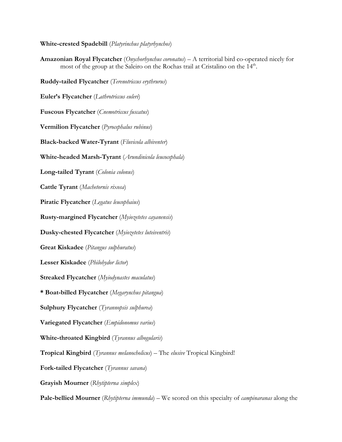## **White-crested Spadebill** (*Platyrinchus platyrhynchos*)

**Amazonian Royal Flycatcher** (*Onychorhynchus coronatus*) – A territorial bird co-operated nicely for most of the group at the Saleiro on the Rochas trail at Cristalino on the  $14<sup>th</sup>$ .

**Ruddy-tailed Flycatcher** (*Terenotriccus erythrurus*) **Euler's Flycatcher** (*Lathrotriccus euleri*) **Fuscous Flycatcher** (*Cnemotriccus fuscatus*) **Vermilion Flycatcher** (*Pyrocephalus rubinus*) **Black-backed Water-Tyrant** (*Fluvicola albiventer*) **White-headed Marsh-Tyrant** (*Arundinicola leucocephala*) **Long-tailed Tyrant** (*Colonia colonus*) **Cattle Tyrant** (*Machetornis rixosa*) **Piratic Flycatcher** (*Legatus leucophaius*) **Rusty-margined Flycatcher** (*Myiozetetes cayanensis*) **Dusky-chested Flycatcher** (*Myiozetetes luteiventris*) **Great Kiskadee** (*Pitangus sulphuratus*) **Lesser Kiskadee** (*Philohydor lictor*) **Streaked Flycatcher** (*Myiodynastes maculatus*) **\* Boat-billed Flycatcher** (*Megarynchus pitangua*) **Sulphury Flycatcher** (*Tyrannopsis sulphurea*) **Variegated Flycatcher** (*Empidonomus varius*) **White-throated Kingbird** (*Tyrannus albogularis*) **Tropical Kingbird** (*Tyrannus melanocholicus*) – The *elusive* Tropical Kingbird! **Fork-tailed Flycatcher** (*Tyrannus savana*) **Grayish Mourner** (*Rhytipterna simplex*) **Pale-bellied Mourner** (*Rhytipterna immunda*) – We scored on this specialty of *campinaranas* along the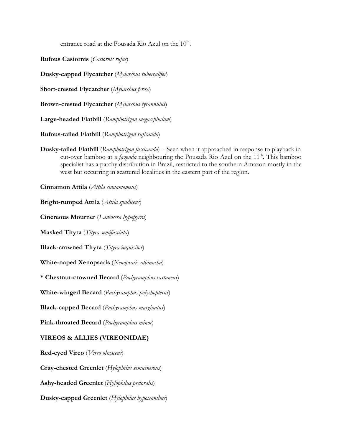entrance road at the Pousada Rio Azul on the  $10^{th}$ .

**Rufous Casiornis** (*Casiornis rufus*)

**Dusky-capped Flycatcher** (*Myiarchus tuberculifer*)

**Short-crested Flycatcher** (*Myiarchus ferox*)

**Brown-crested Flycatcher** (*Myiarchus tyrannulus*)

**Large-headed Flatbill** (*Ramphotrigon megacephalum*)

**Rufous-tailed Flatbill** (*Ramphotrigon ruficauda*)

**Dusky-tailed Flatbill** (*Ramphotrigon fuscicauda*) – Seen when it approached in response to playback in cut-over bamboo at a *fazenda* neighbouring the Pousada Rio Azul on the 11<sup>th</sup>. This bamboo specialist has a patchy distribution in Brazil, restricted to the southern Amazon mostly in the west but occurring in scattered localities in the eastern part of the region.

**Cinnamon Attila** (*Attila cinnamomeus*)

**Bright-rumped Attila** (*Attila spadiceus*)

**Cinereous Mourner** (*Laniocera hypopyrra*)

**Masked Tityra** (*Tityra semifasciata*)

**Black-crowned Tityra** (*Tityra inquisitor*)

**White-naped Xenopsaris** (*Xenopsaris albinucha*)

**\* Chestnut-crowned Becard** (*Pachyramphus castaneus*)

**White-winged Becard** (*Pachyramphus polychopterus*)

**Black-capped Becard** (*Pachyramphus marginatus*)

**Pink-throated Becard** (*Pachyramphus minor*)

## **VIREOS & ALLIES (VIREONIDAE)**

**Red-eyed Vireo** (*Vireo olivaceus*)

**Gray-chested Greenlet** (*Hylophilus semicinereus*)

**Ashy-headed Greenlet** (*Hylophilus pectoralis*)

**Dusky-capped Greenlet** (*Hylophilus hypoxanthus*)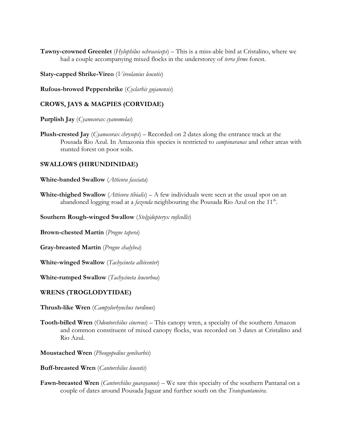**Tawny-crowned Greenlet** (*Hylophilus ochraceiceps*) – This is a miss-able bird at Cristalino, where we had a couple accompanying mixed flocks in the understorey of *terra firme* forest.

**Slaty-capped Shrike-Vireo** (*Vireolanius leucotis*)

**Rufous-browed Peppershrike** (*Cyclarhis gujanensis*)

#### **CROWS, JAYS & MAGPIES (CORVIDAE)**

**Purplish Jay** (*Cyanocorax cyanomelas*)

**Plush-crested Jay** (*Cyanocorax chrysops*) – Recorded on 2 dates along the entrance track at the Pousada Rio Azul. In Amazonia this species is restricted to *campinaranas* and other areas with stunted forest on poor soils.

#### **SWALLOWS (HIRUNDINIDAE)**

**White-banded Swallow** (*Atticora fasciata*)

**White-thighed Swallow** (*Atticora tibialis*) – A few individuals were seen at the usual spot on an abandoned logging road at a *fazenda* neighbouring the Pousada Rio Azul on the  $11<sup>th</sup>$ .

**Southern Rough-winged Swallow** (*Stelgidopteryx ruficollis*)

**Brown-chested Martin** (*Progne tapera*)

**Gray-breasted Martin** (*Progne chalybea*)

**White-winged Swallow** (*Tachycineta albiventer*)

**White-rumped Swallow** (*Tachycineta leucorhoa*)

#### **WRENS (TROGLODYTIDAE)**

**Thrush-like Wren** (*Campylorhynchus turdinus*)

**Tooth-billed Wren** (*Odontorchilus cinereus*) – This canopy wren, a specialty of the southern Amazon and common constituent of mixed canopy flocks, was recorded on 3 dates at Cristalino and Rio Azul.

**Moustached Wren** (*Pheugopedius genibarbis*)

- **Buff-breasted Wren** (*Cantorchilus leucotis*)
- **Fawn-breasted Wren** (*Cantorchilus guarayanus*) We saw this specialty of the southern Pantanal on a couple of dates around Pousada Jaguar and further south on the *Transpantaneira*.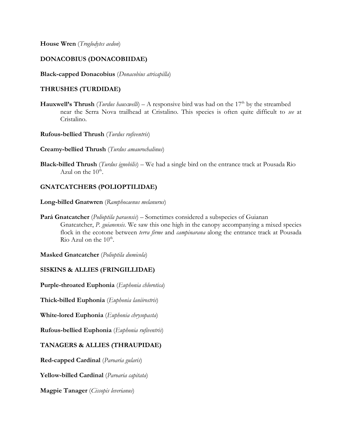**House Wren** (*Troglodytes aedon*)

# **DONACOBIUS (DONACOBIIDAE)**

**Black-capped Donacobius** (*Donacobius atricapilla*)

# **THRUSHES (TURDIDAE)**

- **Hauxwell's Thrush** (*Turdus hauxwelli*) A responsive bird was had on the 17<sup>th</sup> by the streambed near the Serra Nova trailhead at Cristalino. This species is often quite difficult to *see* at Cristalino.
- **Rufous-bellied Thrush** (*Turdus rufiventris*)

**Creamy-bellied Thrush** (*Turdus amaurochalinus*)

**Black-billed Thrush** (*Turdus ignobilis*) – We had a single bird on the entrance track at Pousada Rio Azul on the  $10^{th}$ .

# **GNATCATCHERS (POLIOPTILIDAE)**

**Long-billed Gnatwren** (*Ramphocaenus melanurus*)

**Pará Gnatcatcher** (*Polioptila paraensis*) – Sometimes considered a subspecies of Guianan Gnatcatcher, *P. guianensis*. We saw this one high in the canopy accompanying a mixed species flock in the ecotone between *terra firme* and *campinarana* along the entrance track at Pousada Rio Azul on the  $10^{th}$ .

**Masked Gnatcatcher** (*Polioptila dumicola*)

## **SISKINS & ALLIES (FRINGILLIDAE)**

**Purple-throated Euphonia** (*Euphonia chlorotica*)

**Thick-billed Euphonia** (*Euphonia laniirostris*)

**White-lored Euphonia** (*Euphonia chrysopasta*)

**Rufous-bellied Euphonia** (*Euphonia rufiventris*)

## **TANAGERS & ALLIES (THRAUPIDAE)**

**Red-capped Cardinal** (*Paroaria gularis*)

**Yellow-billed Cardinal** (*Paroaria capitata*)

**Magpie Tanager** (*Cissopis leverianus*)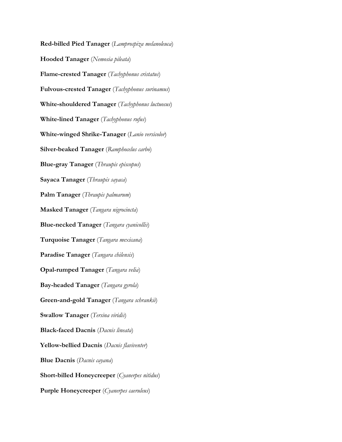**Red-billed Pied Tanager** (*Lamprospiza melanoleuca*) **Hooded Tanager** (*Nemosia pileata*) **Flame-crested Tanager** (*Tachyphonus cristatus*) **Fulvous-crested Tanager** (*Tachyphonus surinamus*) **White-shouldered Tanager** (*Tachyphonus luctuosus*) **White-lined Tanager** (*Tachyphonus rufus*) **White-winged Shrike-Tanager** (*Lanio versicolor*) **Silver-beaked Tanager** (*Ramphocelus carbo*) **Blue-gray Tanager** (*Thraupis episcopus*) **Sayaca Tanager** (*Thraupis sayaca*) **Palm Tanager** (*Thraupis palmarum*) **Masked Tanager** (*Tangara nigrocincta*) **Blue-necked Tanager** (*Tangara cyanicollis*) **Turquoise Tanager** (*Tangara mexicana*) **Paradise Tanager** (*Tangara chilensis*) **Opal-rumped Tanager** (*Tangara velia*) **Bay-headed Tanager** (*Tangara gyrola*) **Green-and-gold Tanager** (*Tangara schrankii*) **Swallow Tanager** (*Tersina viridis*) **Black-faced Dacnis** (*Dacnis lineata*) **Yellow-bellied Dacnis** (*Dacnis flaviventer*) **Blue Dacnis** (*Dacnis cayana*) **Short-billed Honeycreeper** (*Cyanerpes nitidus*) **Purple Honeycreeper** (*Cyanerpes caeruleus*)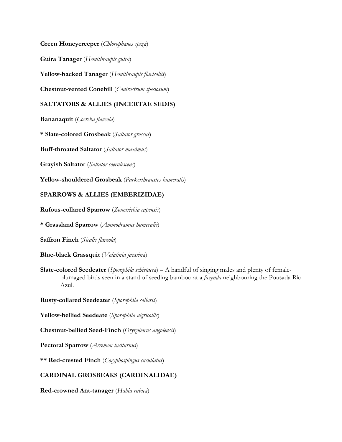**Green Honeycreeper** (*Chlorophanes spiza*)

**Guira Tanager** (*Hemithraupis guira*)

**Yellow-backed Tanager** (*Hemithraupis flavicollis*)

**Chestnut-vented Conebill** (*Conirostrum speciosum*)

# **SALTATORS & ALLIES (INCERTAE SEDIS)**

**Bananaquit** (*Coereba flaveola*)

**\* Slate-colored Grosbeak** (*Saltator grossus*)

**Buff-throated Saltator** (*Saltator maximus*)

**Grayish Saltator** (*Saltator coerulescens*)

**Yellow-shouldered Grosbeak** (*Parkerthraustes humeralis*)

# **SPARROWS & ALLIES (EMBERIZIDAE)**

**Rufous-collared Sparrow** (*Zonotrichia capensis*)

**\* Grassland Sparrow** (*Ammodramus humeralis*)

**Saffron Finch** (*Sicalis flaveola*)

**Blue-black Grassquit** (*Volatinia jacarina*)

**Slate-colored Seedeater** (*Sporophila schistacea*) – A handful of singing males and plenty of femaleplumaged birds seen in a stand of seeding bamboo at a *fazenda* neighbouring the Pousada Rio Azul.

**Rusty-collared Seedeater** (*Sporophila collaris*)

**Yellow-bellied Seedeate** (*Sporophila nigricollis*)

**Chestnut-bellied Seed-Finch** (*Oryzoborus angolensis*)

**Pectoral Sparrow** (*Arremon taciturnus*)

**\*\* Red-crested Finch** (*Coryphospingus cucullatus*)

# **CARDINAL GROSBEAKS (CARDINALIDAE)**

**Red-crowned Ant-tanager** (*Habia rubica*)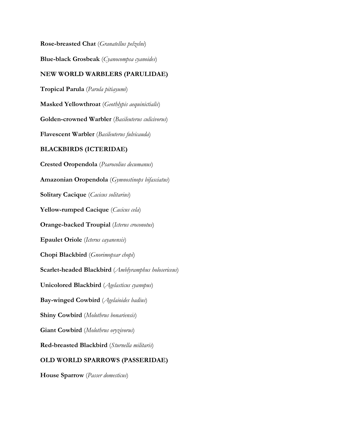**Rose-breasted Chat** (*Granatellus pelzelni*) **Blue-black Grosbeak** (*Cyanocompsa cyanoides*) **NEW WORLD WARBLERS (PARULIDAE) Tropical Parula** (*Parula pitiayumi*) **Masked Yellowthroat** (*Geothlypis aequinictialis*) **Golden-crowned Warbler** (*Basileuterus culicivorus*) **Flavescent Warbler** (*Basileuterus fulvicauda*) **BLACKBIRDS (ICTERIDAE) Crested Oropendola** (*Psarocolius decumanus*) **Amazonian Oropendola** (*Gymnostinops bifasciatus*) **Solitary Cacique** (*Cacicus solitarius*) **Yellow-rumped Cacique** (*Cacicus cela*) **Orange-backed Troupial** (*Icterus croconotus*) **Epaulet Oriole** (*Icterus cayanensis*) **Chopi Blackbird** (*Gnorimopsar chopi*) **Scarlet-headed Blackbird** (*Amblyramphus holosericeus*) **Unicolored Blackbird** (*Agelasticus cyanopus*) **Bay-winged Cowbird** (*Agelaioides badius*) **Shiny Cowbird** (*Molothrus bonariensis*) **Giant Cowbird** (*Molothrus oryzivorus*) **Red-breasted Blackbird** (*Sturnella militaris*) **OLD WORLD SPARROWS (PASSERIDAE)** 

**House Sparrow** (*Passer domesticus*)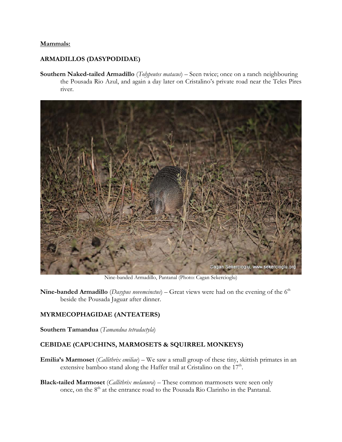#### **Mammals:**

#### **ARMADILLOS (DASYPODIDAE)**

**Southern Naked-tailed Armadillo** (*Tolypeutes matacus*) – Seen twice; once on a ranch neighbouring the Pousada Rio Azul, and again a day later on Cristalino's private road near the Teles Pires river.



Nine-banded Armadillo, Pantanal (Photo: Cagan Sekercioglu)

**Nine-banded Armadillo** (*Dasypus novemcinctus*) – Great views were had on the evening of the 6<sup>th</sup> beside the Pousada Jaguar after dinner.

# **MYRMECOPHAGIDAE (ANTEATERS)**

**Southern Tamandua** (*Tamandua tetradactyla*)

## **CEBIDAE (CAPUCHINS, MARMOSETS & SQUIRREL MONKEYS)**

- **Emilia's Marmoset** (*Callithrix emiliae*) We saw a small group of these tiny, skittish primates in an extensive bamboo stand along the Haffer trail at Cristalino on the  $17<sup>th</sup>$ .
- **Black-tailed Marmoset** (*Callithrix melanura*) These common marmosets were seen only once, on the 8th at the entrance road to the Pousada Rio Clarinho in the Pantanal.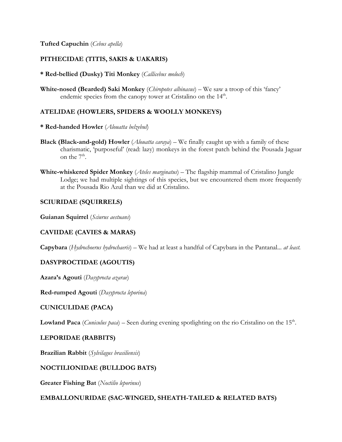## **Tufted Capuchin** (*Cebus apella*)

## **PITHECIDAE (TITIS, SAKIS & UAKARIS)**

#### **\* Red-bellied (Dusky) Titi Monkey** (*Callicebus moloch*)

**White-nosed (Bearded) Saki Monkey** (*Chiropotes albinasus*) – We saw a troop of this 'fancy' endemic species from the canopy tower at Cristalino on the  $14<sup>th</sup>$ .

## **ATELIDAE (HOWLERS, SPIDERS & WOOLLY MONKEYS)**

- **\* Red-handed Howler** (*Alouatta belzebul*)
- **Black (Black-and-gold) Howler** (*Alouatta caraya*) We finally caught up with a family of these charismatic, 'purposeful' (read: lazy) monkeys in the forest patch behind the Pousada Jaguar on the  $7<sup>th</sup>$ .
- **White-whiskered Spider Monkey** (*Ateles marginatus*) The flagship mammal of Cristalino Jungle Lodge; we had multiple sightings of this species, but we encountered them more frequently at the Pousada Rio Azul than we did at Cristalino.

## **SCIURIDAE (SQUIRRELS)**

**Guianan Squirrel** (*Sciurus aestuans*)

## **CAVIIDAE (CAVIES & MARAS)**

**Capybara** (*Hydrochoerus hydrochaeris*) – We had at least a handful of Capybara in the Pantanal... *at least.* 

## **DASYPROCTIDAE (AGOUTIS)**

**Azara's Agouti** (*Dasyprocta azarae*)

**Red-rumped Agouti** (*Dasyprocta leporina*)

## **CUNICULIDAE (PACA)**

**Lowland Paca** (*Cuniculus paca*) – Seen during evening spotlighting on the rio Cristalino on the  $15<sup>th</sup>$ .

## **LEPORIDAE (RABBITS)**

**Brazilian Rabbit** (*Sylvilagus brasiliensis*)

## **NOCTILIONIDAE (BULLDOG BATS)**

**Greater Fishing Bat** (*Noctilio leporinus*)

## **EMBALLONURIDAE (SAC-WINGED, SHEATH-TAILED & RELATED BATS)**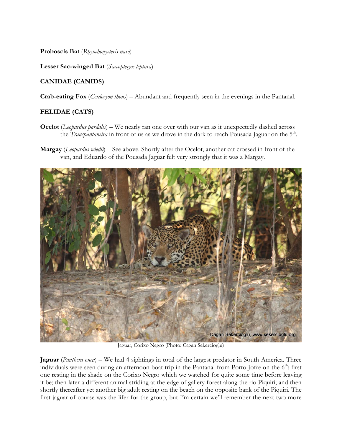**Proboscis Bat** (*Rhynchonycteris naso*)

**Lesser Sac-winged Bat** (*Saccopteryx leptura*)

# **CANIDAE (CANIDS)**

**Crab-eating Fox** (*Cerdocyon thous*) – Abundant and frequently seen in the evenings in the Pantanal.

# **FELIDAE (CATS)**

- **Ocelot** (*Leopardus pardalis*) We nearly ran one over with our van as it unexpectedly dashed across the *Transpantaneira* in front of us as we drove in the dark to reach Pousada Jaguar on the 5<sup>th</sup>.
- **Margay** (*Leopardus wiedii*) See above. Shortly after the Ocelot, another cat crossed in front of the van, and Eduardo of the Pousada Jaguar felt very strongly that it was a Margay.



Jaguar, Corixo Negro (Photo: Cagan Sekercioglu)

**Jaguar** (*Panthera onca*) – We had 4 sightings in total of the largest predator in South America. Three individuals were seen during an afternoon boat trip in the Pantanal from Porto Jofre on the  $6<sup>th</sup>$ : first one resting in the shade on the Corixo Negro which we watched for quite some time before leaving it be; then later a different animal striding at the edge of gallery forest along the rio Piquiri; and then shortly thereafter yet another big adult resting on the beach on the opposite bank of the Piquiri. The first jaguar of course was the lifer for the group, but I'm certain we'll remember the next two more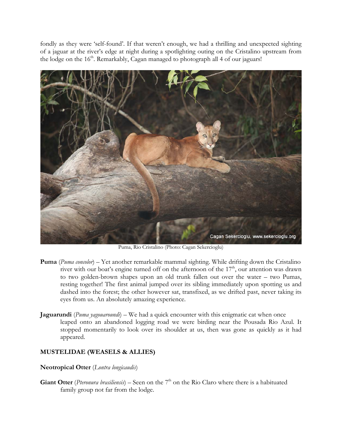fondly as they were 'self-found'. If that weren't enough, we had a thrilling and unexpected sighting of a jaguar at the river's edge at night during a spotlighting outing on the Cristalino upstream from the lodge on the  $16<sup>th</sup>$ . Remarkably, Cagan managed to photograph all 4 of our jaguars!



Puma, Rio Cristalino (Photo: Cagan Sekercioglu)

- **Puma** (*Puma concolor*) Yet another remarkable mammal sighting. While drifting down the Cristalino river with our boat's engine turned off on the afternoon of the  $17<sup>th</sup>$ , our attention was drawn to two golden-brown shapes upon an old trunk fallen out over the water – two Pumas, resting together! The first animal jumped over its sibling immediately upon spotting us and dashed into the forest; the other however sat, transfixed, as we drifted past, never taking its eyes from us. An absolutely amazing experience.
- **Jaguarundi** (*Puma yagouaroundi*) We had a quick encounter with this enigmatic cat when once leaped onto an abandoned logging road we were birding near the Pousada Rio Azul. It stopped momentarily to look over its shoulder at us, then was gone as quickly as it had appeared.

## **MUSTELIDAE (WEASELS & ALLIES)**

#### **Neotropical Otter** (*Lontra longicaudis*)

**Giant Otter** (*Pteronura brasiliensis*) – Seen on the 7<sup>th</sup> on the Rio Claro where there is a habituated family group not far from the lodge.